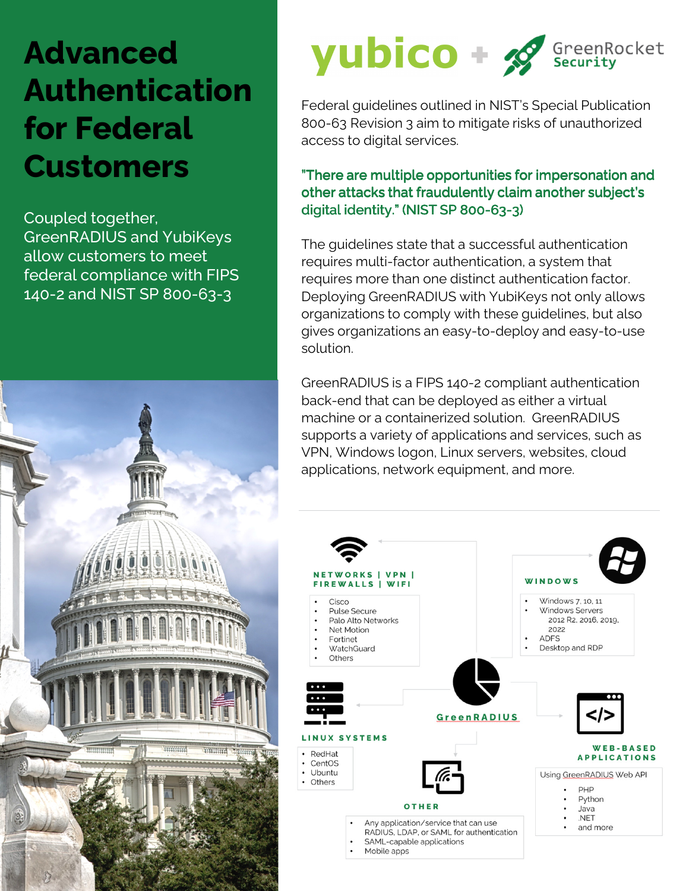## **Advanced Authentication for Federal Customers**

Coupled together, GreenRADIUS and YubiKeys allow customers to meet federal compliance with FIPS 140-2 and NIST SP 800-63-3



# **yubico** +  $\mathcal{L}$ <sup>GreenRocket</sup>

Federal guidelines outlined in NIST's Special Publication 800-63 Revision 3 aim to mitigate risks of unauthorized access to digital services.

#### "There are multiple opportunities for impersonation and other attacks that fraudulently claim another subject's digital identity." (NIST SP 800-63-3)

The guidelines state that a successful authentication requires multi-factor authentication, a system that requires more than one distinct authentication factor. Deploying GreenRADIUS with YubiKeys not only allows organizations to comply with these guidelines, but also gives organizations an easy-to-deploy and easy-to-use solution.

GreenRADIUS is a FIPS 140-2 compliant authentication back-end that can be deployed as either a virtual machine or a containerized solution. GreenRADIUS supports a variety of applications and services, such as VPN, Windows logon, Linux servers, websites, cloud applications, network equipment, and more.